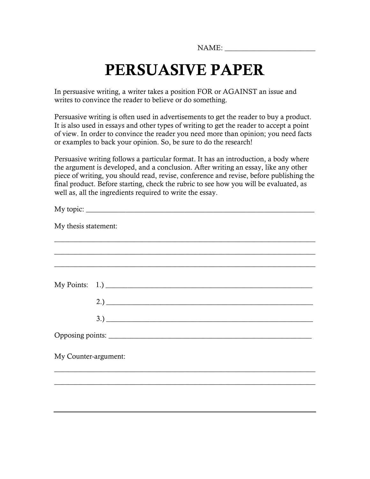NAME:

# **PERSUASIVE PAPER**

In persuasive writing, a writer takes a position FOR or AGAINST an issue and writes to convince the reader to believe or do something.

Persuasive writing is often used in advertisements to get the reader to buy a product. It is also used in essays and other types of writing to get the reader to accept a point of view. In order to convince the reader you need more than opinion; you need facts or examples to back your opinion. So, be sure to do the research!

Persuasive writing follows a particular format. It has an introduction, a body where the argument is developed, and a conclusion. After writing an essay, like any other piece of writing, you should read, revise, conference and revise, before publishing the final product. Before starting, check the rubric to see how you will be evaluated, as well as, all the ingredients required to write the essay.

| My thesis statement: |                |
|----------------------|----------------|
|                      |                |
|                      |                |
|                      |                |
|                      | My Points: 1.) |
|                      |                |
|                      | 3.)            |
|                      |                |
| My Counter-argument: |                |
|                      |                |
|                      |                |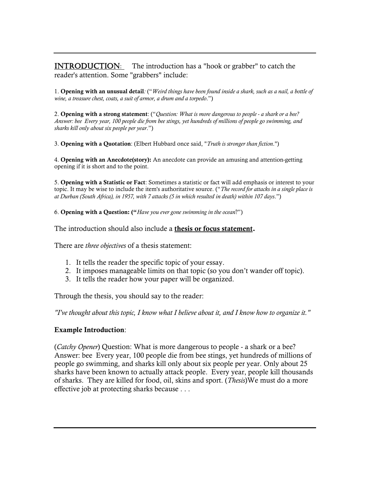**INTRODUCTION:** The introduction has a "hook or grabber" to catch the reader's attention. Some "grabbers" include:

1. **Opening with an unusual detail***:* ("*Weird things have been found inside a shark, such as a nail, a bottle of wine, a treasure chest, coats, a suit of armor, a drum and a torpedo*.")

2. **Opening with a strong statement**: ("*Question: What is more dangerous to people - a shark or a bee? Answer: bee Every year, 100 people die from bee stings, yet hundreds of millions of people go swimming, and sharks kill only about six people per year*.")

3. **Opening with a Quotation**: (Elbert Hubbard once said, "*Truth is stronger than fiction*.")

4. **Opening with an Anecdote(story):** An anecdote can provide an amusing and attention-getting opening if it is short and to the point.

5. **Opening with a Statistic or Fact**: Sometimes a statistic or fact will add emphasis or interest to your topic. It may be wise to include the item's authoritative source. ("*The record for attacks in a single place is at Durban (South Africa), in 1957, with 7 attacks (5 in which resulted in death) within 107 days*.")

6. **Opening with a Question: ("***Have you ever gone swimming in the ocean*?")

The introduction should also include a **thesis or focus statement.**

There are *three objectives* of a thesis statement:

- 1. It tells the reader the specific topic of your essay.
- 2. It imposes manageable limits on that topic (so you don't wander off topic).
- 3. It tells the reader how your paper will be organized.

Through the thesis, you should say to the reader:

*"I've thought about this topic, I know what I believe about it, and I know how to organize it."* 

#### **Example Introduction**:

(*Catchy Opener*) Question: What is more dangerous to people - a shark or a bee? Answer: bee Every year, 100 people die from bee stings, yet hundreds of millions of people go swimming, and sharks kill only about six people per year. Only about 25 sharks have been known to actually attack people. Every year, people kill thousands of sharks. They are killed for food, oil, skins and sport. (*Thesis*)We must do a more effective job at protecting sharks because . . .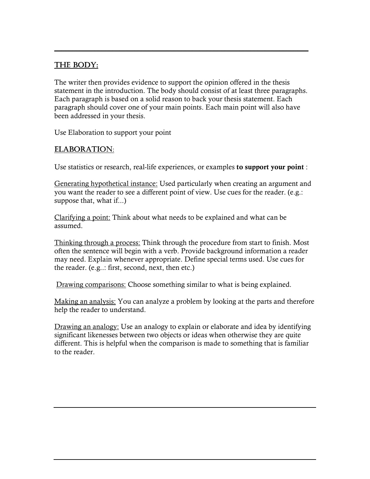#### THE BODY:

The writer then provides evidence to support the opinion offered in the thesis statement in the introduction. The body should consist of at least three paragraphs. Each paragraph is based on a solid reason to back your thesis statement. Each paragraph should cover one of your main points. Each main point will also have been addressed in your thesis.

 $\_$  ,  $\_$  ,  $\_$  ,  $\_$  ,  $\_$  ,  $\_$  ,  $\_$  ,  $\_$  ,  $\_$  ,  $\_$  ,  $\_$  ,  $\_$  ,  $\_$  ,  $\_$  ,  $\_$  ,  $\_$  ,  $\_$  ,  $\_$  ,  $\_$  ,  $\_$  ,  $\_$  ,  $\_$  ,  $\_$  ,  $\_$  ,  $\_$  ,  $\_$  ,  $\_$  ,  $\_$  ,  $\_$  ,  $\_$  ,  $\_$  ,  $\_$  ,  $\_$  ,  $\_$  ,  $\_$  ,  $\_$  ,  $\_$  ,

Use Elaboration to support your point

#### ELABORATION:

Use statistics or research, real-life experiences, or examples **to support your point** :

Generating hypothetical instance: Used particularly when creating an argument and you want the reader to see a different point of view. Use cues for the reader. (e.g.: suppose that, what if...)

Clarifying a point: Think about what needs to be explained and what can be assumed.

Thinking through a process: Think through the procedure from start to finish. Most often the sentence will begin with a verb. Provide background information a reader may need. Explain whenever appropriate. Define special terms used. Use cues for the reader. (e.g..: first, second, next, then etc.)

Drawing comparisons: Choose something similar to what is being explained.

Making an analysis: You can analyze a problem by looking at the parts and therefore help the reader to understand.

Drawing an analogy: Use an analogy to explain or elaborate and idea by identifying significant likenesses between two objects or ideas when otherwise they are quite different. This is helpful when the comparison is made to something that is familiar to the reader.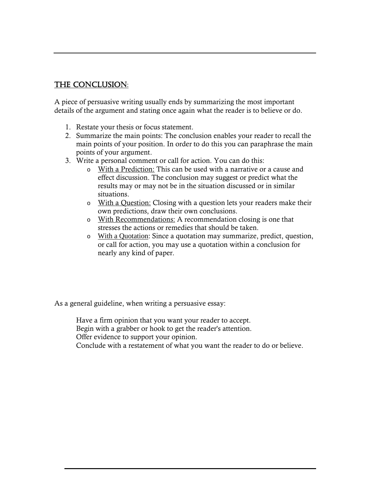#### THE CONCLUSION:

A piece of persuasive writing usually ends by summarizing the most important details of the argument and stating once again what the reader is to believe or do.

- 1. Restate your thesis or focus statement.
- 2. Summarize the main points: The conclusion enables your reader to recall the main points of your position. In order to do this you can paraphrase the main points of your argument.
- 3. Write a personal comment or call for action. You can do this:
	- o With a Prediction: This can be used with a narrative or a cause and effect discussion. The conclusion may suggest or predict what the results may or may not be in the situation discussed or in similar situations.
	- o With a Question: Closing with a question lets your readers make their own predictions, draw their own conclusions.
	- o With Recommendations: A recommendation closing is one that stresses the actions or remedies that should be taken.
	- o With a Quotation: Since a quotation may summarize, predict, question, or call for action, you may use a quotation within a conclusion for nearly any kind of paper.

As a general guideline, when writing a persuasive essay:

Have a firm opinion that you want your reader to accept. Begin with a grabber or hook to get the reader's attention. Offer evidence to support your opinion. Conclude with a restatement of what you want the reader to do or believe.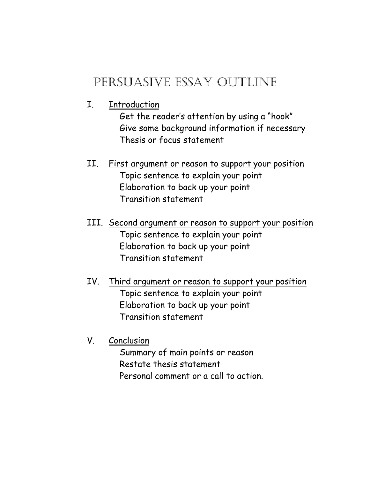## PERSUASIVE ESSAY OUTLINE

I. Introduction

Get the reader's attention by using a "hook" Give some background information if necessary Thesis or focus statement

- II. First argument or reason to support your position Topic sentence to explain your point Elaboration to back up your point Transition statement
- III. Second argument or reason to support your position Topic sentence to explain your point Elaboration to back up your point Transition statement
- IV. Third argument or reason to support your position Topic sentence to explain your point Elaboration to back up your point Transition statement
- V. Conclusion

Summary of main points or reason Restate thesis statement Personal comment or a call to action.